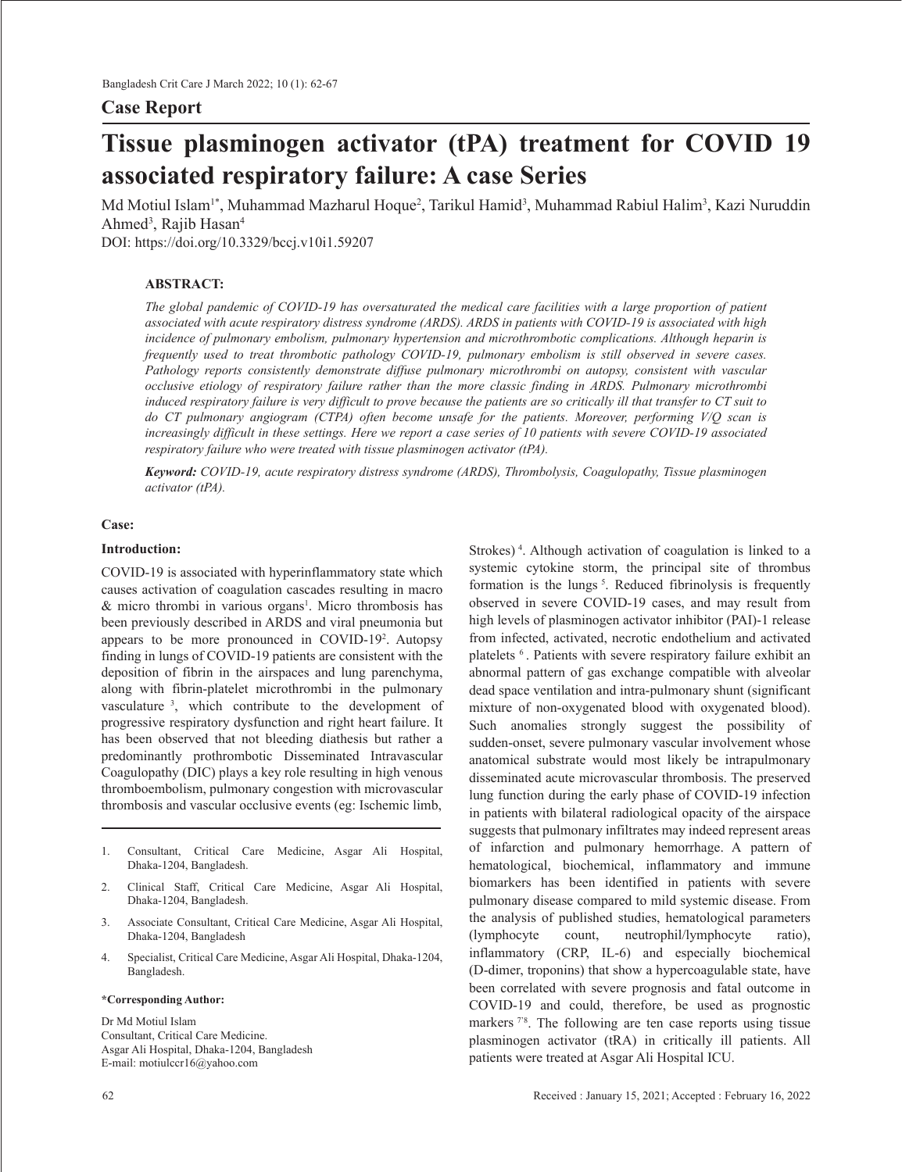## **Case Report**

# **Tissue plasminogen activator (tPA) treatment for COVID 19 associated respiratory failure: A case Series**

Md Motiul Islam'\*, Muhammad Mazharul Hoque<sup>2</sup>, Tarikul Hamid<sup>3</sup>, Muhammad Rabiul Halim<sup>3</sup>, Kazi Nuruddin Ahmed<sup>3</sup>, Rajib Hasan<sup>4</sup>

DOI: https://doi.org/10.3329/bccj.v10i1.59207

## **ABSTRACT:**

*The global pandemic of COVID-19 has oversaturated the medical care facilities with a large proportion of patient associated with acute respiratory distress syndrome (ARDS). ARDS in patients with COVID-19 is associated with high incidence of pulmonary embolism, pulmonary hypertension and microthrombotic complications. Although heparin is frequently used to treat thrombotic pathology COVID-19, pulmonary embolism is still observed in severe cases. Pathology reports consistently demonstrate diffuse pulmonary microthrombi on autopsy, consistent with vascular occlusive etiology of respiratory failure rather than the more classic finding in ARDS. Pulmonary microthrombi induced respiratory failure is very difficult to prove because the patients are so critically ill that transfer to CT suit to do CT pulmonary angiogram (CTPA) often become unsafe for the patients. Moreover, performing V/Q scan is increasingly difficult in these settings. Here we report a case series of 10 patients with severe COVID-19 associated respiratory failure who were treated with tissue plasminogen activator (tPA).* 

*Keyword: COVID-19, acute respiratory distress syndrome (ARDS), Thrombolysis, Coagulopathy, Tissue plasminogen activator (tPA).*

## **Case:**

#### **Introduction:**

COVID-19 is associated with hyperinflammatory state which causes activation of coagulation cascades resulting in macro & micro thrombi in various organs<sup>1</sup>. Micro thrombosis has been previously described in ARDS and viral pneumonia but appears to be more pronounced in COVID-192 . Autopsy finding in lungs of COVID-19 patients are consistent with the deposition of fibrin in the airspaces and lung parenchyma, along with fibrin-platelet microthrombi in the pulmonary vasculature 3, which contribute to the development of progressive respiratory dysfunction and right heart failure. It has been observed that not bleeding diathesis but rather a predominantly prothrombotic Disseminated Intravascular Coagulopathy (DIC) plays a key role resulting in high venous thromboembolism, pulmonary congestion with microvascular thrombosis and vascular occlusive events (eg: Ischemic limb,

- 1. Consultant, Critical Care Medicine, Asgar Ali Hospital, Dhaka-1204, Bangladesh.
- 2. Clinical Staff, Critical Care Medicine, Asgar Ali Hospital, Dhaka-1204, Bangladesh.
- 3. Associate Consultant, Critical Care Medicine, Asgar Ali Hospital, Dhaka-1204, Bangladesh
- 4. Specialist, Critical Care Medicine, Asgar Ali Hospital, Dhaka-1204, Bangladesh.

#### **\*Corresponding Author:**

Dr Md Motiul Islam Consultant, Critical Care Medicine. Asgar Ali Hospital, Dhaka-1204, Bangladesh E-mail: motiulccr16@yahoo.com

Strokes) 4. Although activation of coagulation is linked to a systemic cytokine storm, the principal site of thrombus formation is the lungs<sup>5</sup>. Reduced fibrinolysis is frequently observed in severe COVID-19 cases, and may result from high levels of plasminogen activator inhibitor (PAI)-1 release from infected, activated, necrotic endothelium and activated platelets 6 . Patients with severe respiratory failure exhibit an abnormal pattern of gas exchange compatible with alveolar dead space ventilation and intra-pulmonary shunt (significant mixture of non-oxygenated blood with oxygenated blood). Such anomalies strongly suggest the possibility of sudden-onset, severe pulmonary vascular involvement whose anatomical substrate would most likely be intrapulmonary disseminated acute microvascular thrombosis. The preserved lung function during the early phase of COVID-19 infection in patients with bilateral radiological opacity of the airspace suggests that pulmonary infiltrates may indeed represent areas of infarction and pulmonary hemorrhage. A pattern of hematological, biochemical, inflammatory and immune biomarkers has been identified in patients with severe pulmonary disease compared to mild systemic disease. From the analysis of published studies, hematological parameters (lymphocyte count, neutrophil/lymphocyte ratio), inflammatory (CRP, IL-6) and especially biochemical (D-dimer, troponins) that show a hypercoagulable state, have been correlated with severe prognosis and fatal outcome in COVID-19 and could, therefore, be used as prognostic markers<sup>78</sup>. The following are ten case reports using tissue plasminogen activator (tRA) in critically ill patients. All patients were treated at Asgar Ali Hospital ICU.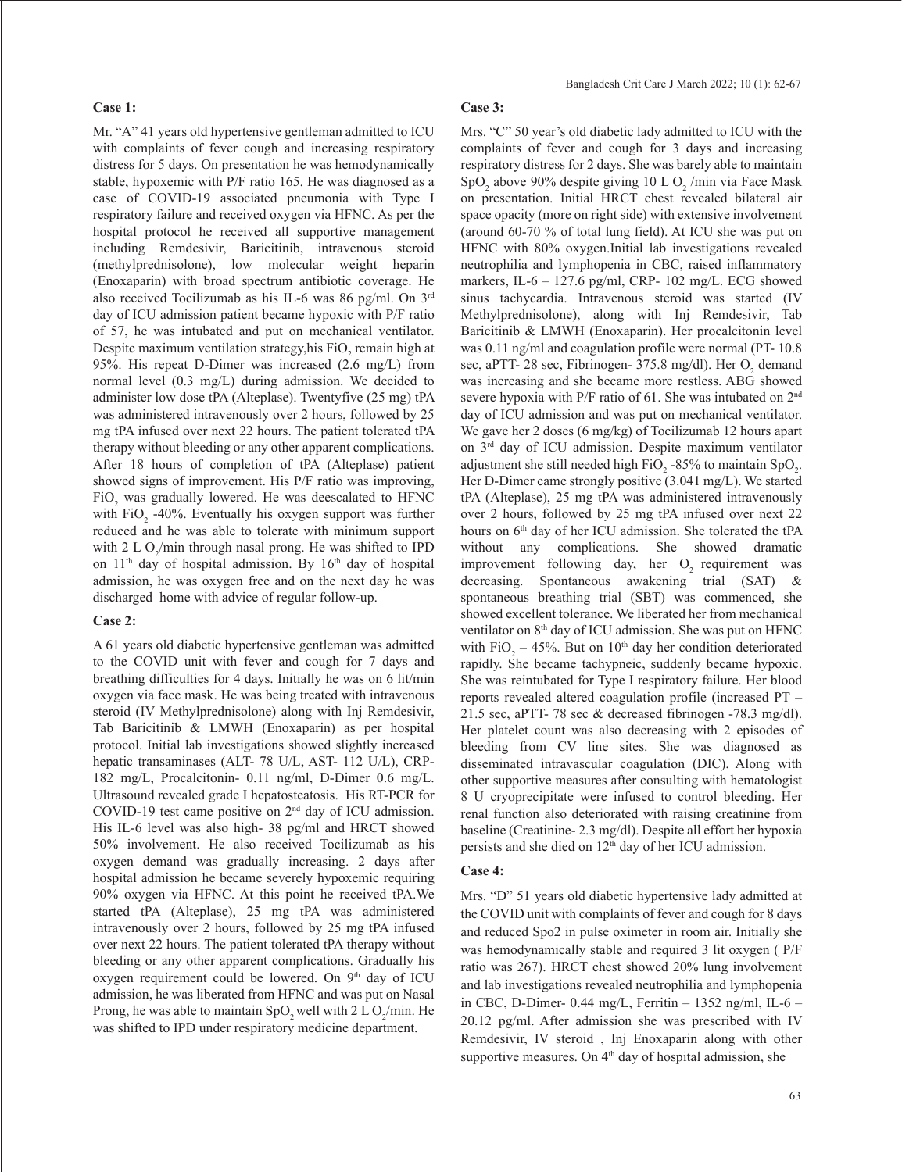## **Case 1:**

Mr. "A" 41 years old hypertensive gentleman admitted to ICU with complaints of fever cough and increasing respiratory distress for 5 days. On presentation he was hemodynamically stable, hypoxemic with P/F ratio 165. He was diagnosed as a case of COVID-19 associated pneumonia with Type I respiratory failure and received oxygen via HFNC. As per the hospital protocol he received all supportive management including Remdesivir, Baricitinib, intravenous steroid (methylprednisolone), low molecular weight heparin (Enoxaparin) with broad spectrum antibiotic coverage. He also received Tocilizumab as his IL-6 was 86 pg/ml. On 3rd day of ICU admission patient became hypoxic with P/F ratio of 57, he was intubated and put on mechanical ventilator. Despite maximum ventilation strategy,his  $FiO_2$  remain high at 95%. His repeat D-Dimer was increased (2.6 mg/L) from normal level (0.3 mg/L) during admission. We decided to administer low dose tPA (Alteplase). Twentyfive (25 mg) tPA was administered intravenously over 2 hours, followed by 25 mg tPA infused over next 22 hours. The patient tolerated tPA therapy without bleeding or any other apparent complications. After 18 hours of completion of tPA (Alteplase) patient showed signs of improvement. His P/F ratio was improving,  $FiO<sub>2</sub>$  was gradually lowered. He was deescalated to HFNC with  $FiO_2$  -40%. Eventually his oxygen support was further reduced and he was able to tolerate with minimum support with 2 L O<sub>2</sub>/min through nasal prong. He was shifted to IPD on  $11<sup>th</sup>$  day of hospital admission. By  $16<sup>th</sup>$  day of hospital admission, he was oxygen free and on the next day he was discharged home with advice of regular follow-up.

## **Case 2:**

A 61 years old diabetic hypertensive gentleman was admitted to the COVID unit with fever and cough for 7 days and breathing difficulties for 4 days. Initially he was on 6 lit/min oxygen via face mask. He was being treated with intravenous steroid (IV Methylprednisolone) along with Inj Remdesivir, Tab Baricitinib & LMWH (Enoxaparin) as per hospital protocol. Initial lab investigations showed slightly increased hepatic transaminases (ALT- 78 U/L, AST- 112 U/L), CRP-182 mg/L, Procalcitonin- 0.11 ng/ml, D-Dimer 0.6 mg/L. Ultrasound revealed grade I hepatosteatosis. His RT-PCR for COVID-19 test came positive on 2nd day of ICU admission. His IL-6 level was also high- 38 pg/ml and HRCT showed 50% involvement. He also received Tocilizumab as his oxygen demand was gradually increasing. 2 days after hospital admission he became severely hypoxemic requiring 90% oxygen via HFNC. At this point he received tPA.We started tPA (Alteplase), 25 mg tPA was administered intravenously over 2 hours, followed by 25 mg tPA infused over next 22 hours. The patient tolerated tPA therapy without bleeding or any other apparent complications. Gradually his oxygen requirement could be lowered. On 9<sup>th</sup> day of ICU admission, he was liberated from HFNC and was put on Nasal Prong, he was able to maintain  $SpO_2$  well with 2 L  $O_2/m$ in. He was shifted to IPD under respiratory medicine department.

## **Case 3:**

Mrs. "C" 50 year's old diabetic lady admitted to ICU with the complaints of fever and cough for 3 days and increasing respiratory distress for 2 days. She was barely able to maintain SpO<sub>2</sub> above 90% despite giving  $10 \text{ L O}_2$ /min via Face Mask on presentation. Initial HRCT chest revealed bilateral air space opacity (more on right side) with extensive involvement (around 60-70 % of total lung field). At ICU she was put on HFNC with 80% oxygen.Initial lab investigations revealed neutrophilia and lymphopenia in CBC, raised inflammatory markers, IL-6 – 127.6 pg/ml, CRP- 102 mg/L. ECG showed sinus tachycardia. Intravenous steroid was started (IV Methylprednisolone), along with Inj Remdesivir, Tab Baricitinib & LMWH (Enoxaparin). Her procalcitonin level was 0.11 ng/ml and coagulation profile were normal (PT- 10.8 sec, aPTT- 28 sec, Fibrinogen- 375.8 mg/dl). Her  $O_2$  demand was increasing and she became more restless. ABG showed severe hypoxia with P/F ratio of 61. She was intubated on 2<sup>nd</sup> day of ICU admission and was put on mechanical ventilator. We gave her 2 doses (6 mg/kg) of Tocilizumab 12 hours apart on 3rd day of ICU admission. Despite maximum ventilator adjustment she still needed high  $FiO_2$ -85% to maintain SpO<sub>2</sub>. Her D-Dimer came strongly positive (3.041 mg/L). We started tPA (Alteplase), 25 mg tPA was administered intravenously over 2 hours, followed by 25 mg tPA infused over next 22 hours on 6<sup>th</sup> day of her ICU admission. She tolerated the tPA without any complications. She showed dramatic improvement following day, her O<sub>2</sub> requirement was decreasing. Spontaneous awakening trial (SAT) & spontaneous breathing trial (SBT) was commenced, she showed excellent tolerance. We liberated her from mechanical ventilator on 8<sup>th</sup> day of ICU admission. She was put on HFNC with  $FiO_2 - 45%$ . But on  $10<sup>th</sup>$  day her condition deteriorated rapidly. She became tachypneic, suddenly became hypoxic. She was reintubated for Type I respiratory failure. Her blood reports revealed altered coagulation profile (increased PT – 21.5 sec, aPTT- 78 sec & decreased fibrinogen -78.3 mg/dl). Her platelet count was also decreasing with 2 episodes of bleeding from CV line sites. She was diagnosed as disseminated intravascular coagulation (DIC). Along with other supportive measures after consulting with hematologist 8 U cryoprecipitate were infused to control bleeding. Her renal function also deteriorated with raising creatinine from baseline (Creatinine- 2.3 mg/dl). Despite all effort her hypoxia persists and she died on 12th day of her ICU admission.

## **Case 4:**

Mrs. "D" 51 years old diabetic hypertensive lady admitted at the COVID unit with complaints of fever and cough for 8 days and reduced Spo2 in pulse oximeter in room air. Initially she was hemodynamically stable and required 3 lit oxygen ( P/F ratio was 267). HRCT chest showed 20% lung involvement and lab investigations revealed neutrophilia and lymphopenia in CBC, D-Dimer- 0.44 mg/L, Ferritin – 1352 ng/ml, IL-6 – 20.12 pg/ml. After admission she was prescribed with IV Remdesivir, IV steroid , Inj Enoxaparin along with other supportive measures. On  $4<sup>th</sup>$  day of hospital admission, she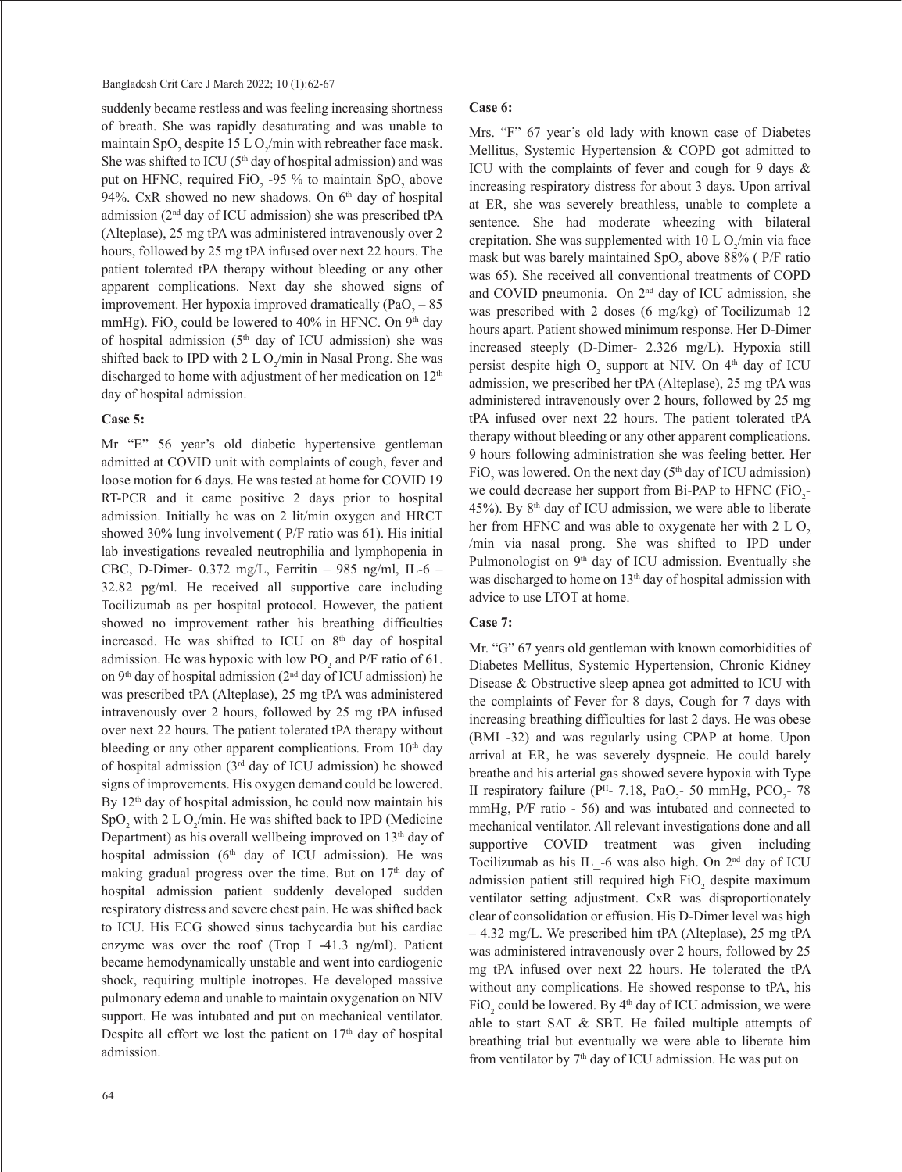suddenly became restless and was feeling increasing shortness of breath. She was rapidly desaturating and was unable to maintain SpO<sub>2</sub> despite 15 L O<sub>2</sub>/min with rebreather face mask. She was shifted to ICU ( $5<sup>th</sup>$  day of hospital admission) and was put on HFNC, required  $FiO_2$  -95 % to maintain  $SpO_2$  above 94%. CxR showed no new shadows. On 6<sup>th</sup> day of hospital admission (2nd day of ICU admission) she was prescribed tPA (Alteplase), 25 mg tPA was administered intravenously over 2 hours, followed by 25 mg tPA infused over next 22 hours. The patient tolerated tPA therapy without bleeding or any other apparent complications. Next day she showed signs of improvement. Her hypoxia improved dramatically (PaO<sub>2</sub> – 85 mmHg). FiO<sub>2</sub> could be lowered to 40% in HFNC. On 9<sup>th</sup> day of hospital admission ( $5<sup>th</sup>$  day of ICU admission) she was shifted back to IPD with  $2 L O_2/m$ in in Nasal Prong. She was discharged to home with adjustment of her medication on 12<sup>th</sup> day of hospital admission.

## **Case 5:**

Mr "E" 56 year's old diabetic hypertensive gentleman admitted at COVID unit with complaints of cough, fever and loose motion for 6 days. He was tested at home for COVID 19 RT-PCR and it came positive 2 days prior to hospital admission. Initially he was on 2 lit/min oxygen and HRCT showed 30% lung involvement ( P/F ratio was 61). His initial lab investigations revealed neutrophilia and lymphopenia in CBC, D-Dimer- 0.372 mg/L, Ferritin – 985 ng/ml, IL-6 – 32.82 pg/ml. He received all supportive care including Tocilizumab as per hospital protocol. However, the patient showed no improvement rather his breathing difficulties increased. He was shifted to ICU on 8<sup>th</sup> day of hospital admission. He was hypoxic with low  $PO_2$  and  $P/F$  ratio of 61. on 9<sup>th</sup> day of hospital admission (2<sup>nd</sup> day of ICU admission) he was prescribed tPA (Alteplase), 25 mg tPA was administered intravenously over 2 hours, followed by 25 mg tPA infused over next 22 hours. The patient tolerated tPA therapy without bleeding or any other apparent complications. From  $10<sup>th</sup>$  day of hospital admission (3rd day of ICU admission) he showed signs of improvements. His oxygen demand could be lowered. By 12<sup>th</sup> day of hospital admission, he could now maintain his  $SpO<sub>2</sub>$  with 2 L  $O<sub>2</sub>/min$ . He was shifted back to IPD (Medicine Department) as his overall wellbeing improved on 13<sup>th</sup> day of hospital admission ( $6<sup>th</sup>$  day of ICU admission). He was making gradual progress over the time. But on  $17<sup>th</sup>$  day of hospital admission patient suddenly developed sudden respiratory distress and severe chest pain. He was shifted back to ICU. His ECG showed sinus tachycardia but his cardiac enzyme was over the roof (Trop I -41.3 ng/ml). Patient became hemodynamically unstable and went into cardiogenic shock, requiring multiple inotropes. He developed massive pulmonary edema and unable to maintain oxygenation on NIV support. He was intubated and put on mechanical ventilator. Despite all effort we lost the patient on  $17<sup>th</sup>$  day of hospital admission.

#### **Case 6:**

Mrs. "F" 67 year's old lady with known case of Diabetes Mellitus, Systemic Hypertension & COPD got admitted to ICU with the complaints of fever and cough for 9 days & increasing respiratory distress for about 3 days. Upon arrival at ER, she was severely breathless, unable to complete a sentence. She had moderate wheezing with bilateral crepitation. She was supplemented with  $10 \text{ L O}_2/\text{min}$  via face mask but was barely maintained  $SpO<sub>2</sub>$  above 88% (P/F ratio was 65). She received all conventional treatments of COPD and COVID pneumonia. On 2nd day of ICU admission, she was prescribed with 2 doses (6 mg/kg) of Tocilizumab 12 hours apart. Patient showed minimum response. Her D-Dimer increased steeply (D-Dimer- 2.326 mg/L). Hypoxia still persist despite high  $O_2$  support at NIV. On  $4<sup>th</sup>$  day of ICU admission, we prescribed her tPA (Alteplase), 25 mg tPA was administered intravenously over 2 hours, followed by 25 mg tPA infused over next 22 hours. The patient tolerated tPA therapy without bleeding or any other apparent complications. 9 hours following administration she was feeling better. Her  $FiO_2$  was lowered. On the next day (5<sup>th</sup> day of ICU admission) we could decrease her support from Bi-PAP to HFNC  $(FiO_2 -$ 45%). By  $8<sup>th</sup>$  day of ICU admission, we were able to liberate her from HFNC and was able to oxygenate her with  $2 L O<sub>2</sub>$ /min via nasal prong. She was shifted to IPD under Pulmonologist on 9<sup>th</sup> day of ICU admission. Eventually she was discharged to home on 13<sup>th</sup> day of hospital admission with advice to use LTOT at home.

## **Case 7:**

Mr. "G" 67 years old gentleman with known comorbidities of Diabetes Mellitus, Systemic Hypertension, Chronic Kidney Disease & Obstructive sleep apnea got admitted to ICU with the complaints of Fever for 8 days, Cough for 7 days with increasing breathing difficulties for last 2 days. He was obese (BMI -32) and was regularly using CPAP at home. Upon arrival at ER, he was severely dyspneic. He could barely breathe and his arterial gas showed severe hypoxia with Type II respiratory failure ( $P<sup>H</sup>$ - 7.18, PaO<sub>2</sub>- 50 mmHg, PCO<sub>2</sub>- 78 mmHg, P/F ratio - 56) and was intubated and connected to mechanical ventilator. All relevant investigations done and all supportive COVID treatment was given including Tocilizumab as his IL -6 was also high. On  $2<sup>nd</sup>$  day of ICU admission patient still required high  $FiO_2$  despite maximum ventilator setting adjustment. CxR was disproportionately clear of consolidation or effusion. His D-Dimer level was high – 4.32 mg/L. We prescribed him tPA (Alteplase), 25 mg tPA was administered intravenously over 2 hours, followed by 25 mg tPA infused over next 22 hours. He tolerated the tPA without any complications. He showed response to tPA, his  $FiO_2$  could be lowered. By  $4<sup>th</sup>$  day of ICU admission, we were able to start SAT & SBT. He failed multiple attempts of breathing trial but eventually we were able to liberate him from ventilator by  $7<sup>th</sup>$  day of ICU admission. He was put on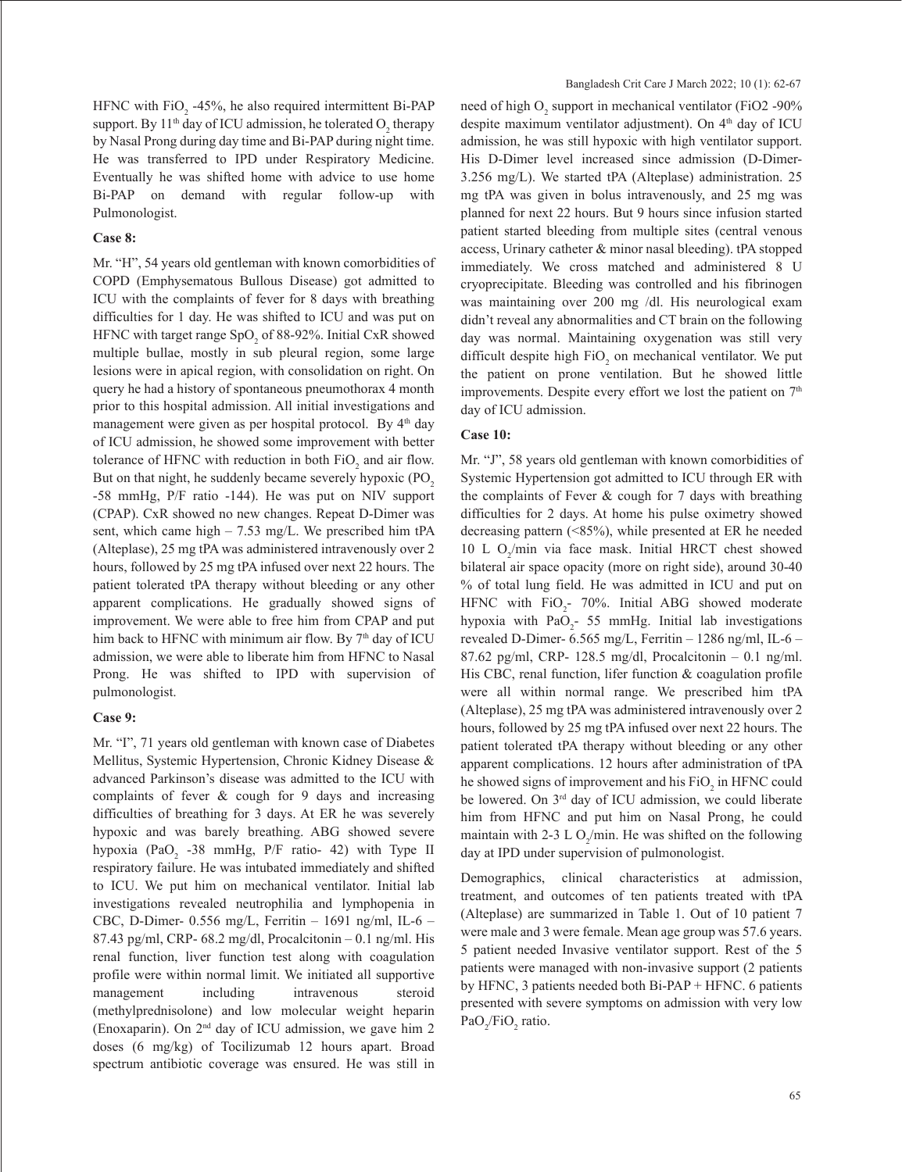HFNC with  $FiO_2$  -45%, he also required intermittent Bi-PAP support. By 11<sup>th</sup> day of ICU admission, he tolerated  $O_2$  therapy by Nasal Prong during day time and Bi-PAP during night time. He was transferred to IPD under Respiratory Medicine. Eventually he was shifted home with advice to use home Bi-PAP on demand with regular follow-up with Pulmonologist.

## **Case 8:**

Mr. "H", 54 years old gentleman with known comorbidities of COPD (Emphysematous Bullous Disease) got admitted to ICU with the complaints of fever for 8 days with breathing difficulties for 1 day. He was shifted to ICU and was put on HFNC with target range  $SpO<sub>2</sub>$  of 88-92%. Initial CxR showed multiple bullae, mostly in sub pleural region, some large lesions were in apical region, with consolidation on right. On query he had a history of spontaneous pneumothorax 4 month prior to this hospital admission. All initial investigations and management were given as per hospital protocol. By 4<sup>th</sup> day of ICU admission, he showed some improvement with better tolerance of HFNC with reduction in both  $FiO_2$  and air flow. But on that night, he suddenly became severely hypoxic (PO<sub>2</sub>) -58 mmHg, P/F ratio -144). He was put on NIV support (CPAP). CxR showed no new changes. Repeat D-Dimer was sent, which came high – 7.53 mg/L. We prescribed him tPA (Alteplase), 25 mg tPA was administered intravenously over 2 hours, followed by 25 mg tPA infused over next 22 hours. The patient tolerated tPA therapy without bleeding or any other apparent complications. He gradually showed signs of improvement. We were able to free him from CPAP and put him back to HFNC with minimum air flow. By 7<sup>th</sup> day of ICU admission, we were able to liberate him from HFNC to Nasal Prong. He was shifted to IPD with supervision of pulmonologist.

#### **Case 9:**

Mr. "I", 71 years old gentleman with known case of Diabetes Mellitus, Systemic Hypertension, Chronic Kidney Disease & advanced Parkinson's disease was admitted to the ICU with complaints of fever & cough for 9 days and increasing difficulties of breathing for 3 days. At ER he was severely hypoxic and was barely breathing. ABG showed severe hypoxia (PaO<sub>2</sub> -38 mmHg, P/F ratio- 42) with Type II respiratory failure. He was intubated immediately and shifted to ICU. We put him on mechanical ventilator. Initial lab investigations revealed neutrophilia and lymphopenia in CBC, D-Dimer- 0.556 mg/L, Ferritin – 1691 ng/ml, IL-6 – 87.43 pg/ml, CRP- 68.2 mg/dl, Procalcitonin  $-0.1$  ng/ml. His renal function, liver function test along with coagulation profile were within normal limit. We initiated all supportive management including intravenous steroid (methylprednisolone) and low molecular weight heparin (Enoxaparin). On 2nd day of ICU admission, we gave him 2 doses (6 mg/kg) of Tocilizumab 12 hours apart. Broad spectrum antibiotic coverage was ensured. He was still in

need of high  $O_2$  support in mechanical ventilator (FiO2 -90%) despite maximum ventilator adjustment). On 4<sup>th</sup> day of ICU admission, he was still hypoxic with high ventilator support. His D-Dimer level increased since admission (D-Dimer-3.256 mg/L). We started tPA (Alteplase) administration. 25 mg tPA was given in bolus intravenously, and 25 mg was planned for next 22 hours. But 9 hours since infusion started patient started bleeding from multiple sites (central venous access, Urinary catheter & minor nasal bleeding). tPA stopped immediately. We cross matched and administered 8 U cryoprecipitate. Bleeding was controlled and his fibrinogen was maintaining over 200 mg /dl. His neurological exam didn't reveal any abnormalities and CT brain on the following day was normal. Maintaining oxygenation was still very difficult despite high  $FiO_2$  on mechanical ventilator. We put the patient on prone ventilation. But he showed little improvements. Despite every effort we lost the patient on  $7<sup>th</sup>$ day of ICU admission.

#### **Case 10:**

Mr. "J", 58 years old gentleman with known comorbidities of Systemic Hypertension got admitted to ICU through ER with the complaints of Fever & cough for 7 days with breathing difficulties for 2 days. At home his pulse oximetry showed decreasing pattern (<85%), while presented at ER he needed 10 L  $O_2/m$ in via face mask. Initial HRCT chest showed bilateral air space opacity (more on right side), around 30-40 % of total lung field. He was admitted in ICU and put on HFNC with  $FiO_2$ - 70%. Initial ABG showed moderate hypoxia with  $PaO<sub>2</sub>$ - 55 mmHg. Initial lab investigations revealed D-Dimer- 6.565 mg/L, Ferritin – 1286 ng/ml, IL-6 – 87.62 pg/ml, CRP- 128.5 mg/dl, Procalcitonin – 0.1 ng/ml. His CBC, renal function, lifer function & coagulation profile were all within normal range. We prescribed him tPA (Alteplase), 25 mg tPA was administered intravenously over 2 hours, followed by 25 mg tPA infused over next 22 hours. The patient tolerated tPA therapy without bleeding or any other apparent complications. 12 hours after administration of tPA he showed signs of improvement and his  $FiO_2$  in HFNC could be lowered. On 3<sup>rd</sup> day of ICU admission, we could liberate him from HFNC and put him on Nasal Prong, he could maintain with 2-3 L  $O_2/m$ in. He was shifted on the following day at IPD under supervision of pulmonologist.

Demographics, clinical characteristics at admission, treatment, and outcomes of ten patients treated with tPA (Alteplase) are summarized in Table 1. Out of 10 patient 7 were male and 3 were female. Mean age group was 57.6 years. 5 patient needed Invasive ventilator support. Rest of the 5 patients were managed with non-invasive support (2 patients by HFNC, 3 patients needed both Bi-PAP + HFNC. 6 patients presented with severe symptoms on admission with very low  $PaO_2/FiO_2$  ratio.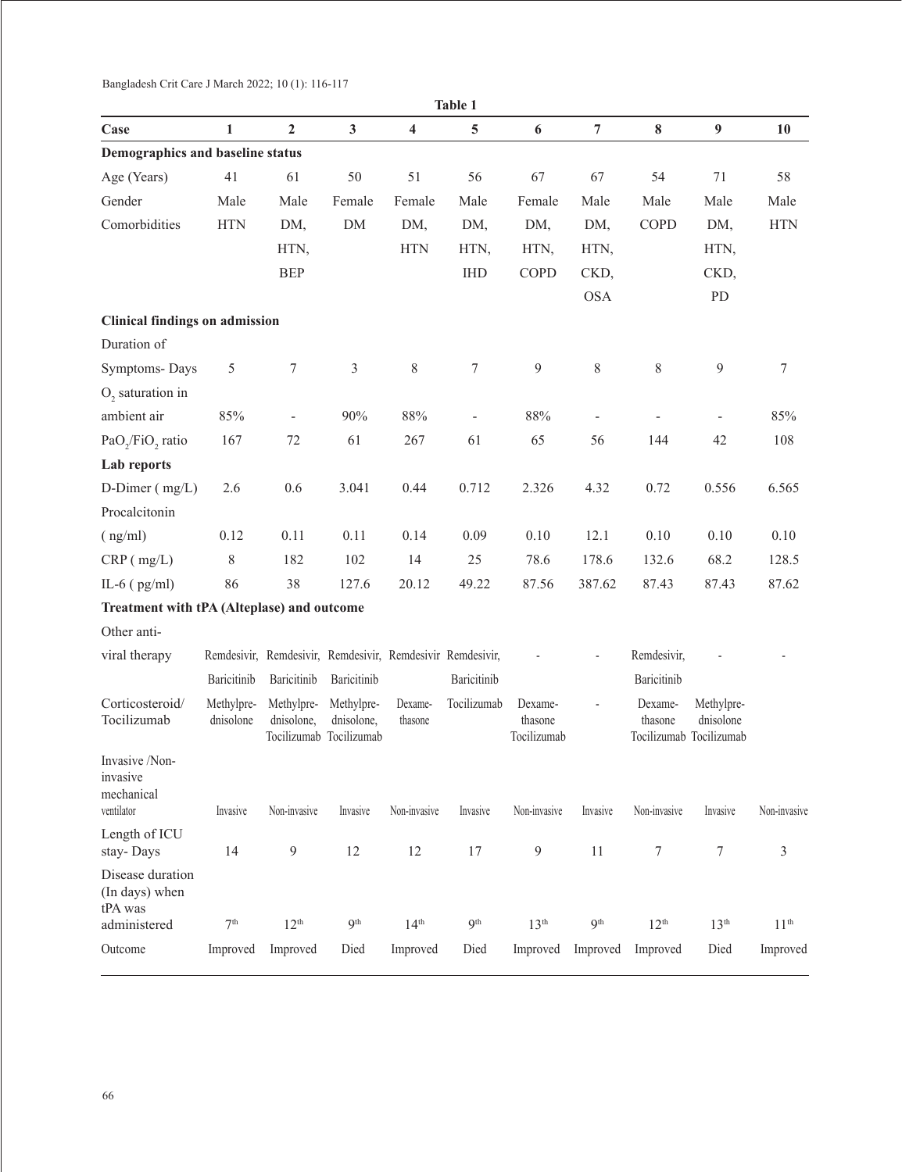| Table 1                                                |                         |                                                            |                                                     |                         |                 |                                   |                 |                    |                                                    |                  |
|--------------------------------------------------------|-------------------------|------------------------------------------------------------|-----------------------------------------------------|-------------------------|-----------------|-----------------------------------|-----------------|--------------------|----------------------------------------------------|------------------|
| Case                                                   | 1                       | $\overline{2}$                                             | $\mathbf{3}$                                        | $\overline{\mathbf{4}}$ | 5               | 6                                 | 7               | $\bf{8}$           | 9                                                  | 10               |
| Demographics and baseline status                       |                         |                                                            |                                                     |                         |                 |                                   |                 |                    |                                                    |                  |
| Age (Years)                                            | 41                      | 61                                                         | 50                                                  | 51                      | 56              | 67                                | 67              | 54                 | 71                                                 | 58               |
| Gender                                                 | Male                    | Male                                                       | Female                                              | Female                  | Male            | Female                            | Male            | Male               | Male                                               | Male             |
| Comorbidities                                          | <b>HTN</b>              | DM,                                                        | DM                                                  | DM,                     | DM,             | DM,                               | DM,             | COPD               | DM,                                                | <b>HTN</b>       |
|                                                        |                         | HTN,                                                       |                                                     | <b>HTN</b>              | HTN,            | HTN,                              | HTN,            |                    | HTN,                                               |                  |
|                                                        |                         | <b>BEP</b>                                                 |                                                     |                         | <b>IHD</b>      | COPD                              | CKD,            |                    | CKD,                                               |                  |
|                                                        |                         |                                                            |                                                     |                         |                 |                                   | <b>OSA</b>      |                    | PD                                                 |                  |
| <b>Clinical findings on admission</b>                  |                         |                                                            |                                                     |                         |                 |                                   |                 |                    |                                                    |                  |
| Duration of                                            |                         |                                                            |                                                     |                         |                 |                                   |                 |                    |                                                    |                  |
| Symptoms-Days                                          | 5                       | 7                                                          | $\mathfrak{Z}$                                      | 8                       | 7               | 9                                 | $8\,$           | $8\,$              | 9                                                  | $\tau$           |
| O <sub>2</sub> saturation in                           |                         |                                                            |                                                     |                         |                 |                                   |                 |                    |                                                    |                  |
| ambient air                                            | 85%                     |                                                            | 90%                                                 | $88\%$                  |                 | $88\%$                            |                 |                    |                                                    | 85%              |
| PaO <sub>2</sub> /FiO <sub>2</sub> ratio               | 167                     | 72                                                         | 61                                                  | 267                     | 61              | 65                                | 56              | 144                | 42                                                 | 108              |
| Lab reports                                            |                         |                                                            |                                                     |                         |                 |                                   |                 |                    |                                                    |                  |
| D-Dimer $(mg/L)$                                       | 2.6                     | 0.6                                                        | 3.041                                               | 0.44                    | 0.712           | 2.326                             | 4.32            | 0.72               | 0.556                                              | 6.565            |
| Procalcitonin                                          |                         |                                                            |                                                     |                         |                 |                                   |                 |                    |                                                    |                  |
| (ng/ml)                                                | 0.12                    | 0.11                                                       | 0.11                                                | 0.14                    | 0.09            | 0.10                              | 12.1            | 0.10               | 0.10                                               | 0.10             |
| $CRP$ ( $mg/L$ )                                       | 8                       | 182                                                        | 102                                                 | 14                      | 25              | 78.6                              | 178.6           | 132.6              | 68.2                                               | 128.5            |
| IL-6 $(pg/ml)$                                         | 86                      | 38                                                         | 127.6                                               | 20.12                   | 49.22           | 87.56                             | 387.62          | 87.43              | 87.43                                              | 87.62            |
| Treatment with tPA (Alteplase) and outcome             |                         |                                                            |                                                     |                         |                 |                                   |                 |                    |                                                    |                  |
| Other anti-                                            |                         |                                                            |                                                     |                         |                 |                                   |                 |                    |                                                    |                  |
| viral therapy                                          |                         | Remdesivir, Remdesivir, Remdesivir, Remdesivir Remdesivir, |                                                     |                         |                 |                                   |                 | Remdesivir,        |                                                    |                  |
|                                                        | Baricitinib             | Baricitinib                                                | Baricitinib                                         |                         | Baricitinib     |                                   |                 | Baricitinib        |                                                    |                  |
| Corticosteroid/<br>Tocilizumab                         | Methylpre-<br>dnisolone | Methylpre-<br>dnisolone,                                   | Methylpre-<br>dnisolone,<br>Tocilizumab Tocilizumab | Dexame-<br>thasone      | Tocilizumab     | Dexame-<br>thasone<br>Tocilizumab |                 | Dexame-<br>thasone | Methylpre-<br>dnisolone<br>Tocilizumab Tocilizumab |                  |
| Invasive /Non-<br>invasive<br>mechanical<br>ventilator | Invasive                | Non-invasive                                               | Invasive                                            | Non-invasive            | Invasive        | Non-invasive                      | Invasive        | Non-invasive       | Invasive                                           | Non-invasive     |
| Length of ICU                                          |                         |                                                            |                                                     |                         |                 |                                   |                 |                    |                                                    |                  |
| stay-Days                                              | 14                      | $\overline{9}$                                             | 12                                                  | 12                      | 17              | 9                                 | 11              | 7                  | $\tau$                                             | $\mathfrak{Z}$   |
| Disease duration<br>(In days) when<br>tPA was          |                         |                                                            |                                                     |                         |                 |                                   |                 |                    |                                                    |                  |
| administered                                           | 7 <sup>th</sup>         | 12 <sup>th</sup>                                           | Q <sup>th</sup>                                     | 14 <sup>th</sup>        | 9 <sup>th</sup> | 13 <sup>th</sup>                  | 9 <sup>th</sup> | 12 <sup>th</sup>   | 13 <sup>th</sup>                                   | 11 <sup>th</sup> |
| Outcome                                                | Improved                | Improved                                                   | Died                                                | Improved                | Died            | Improved                          | Improved        | Improved           | Died                                               | Improved         |